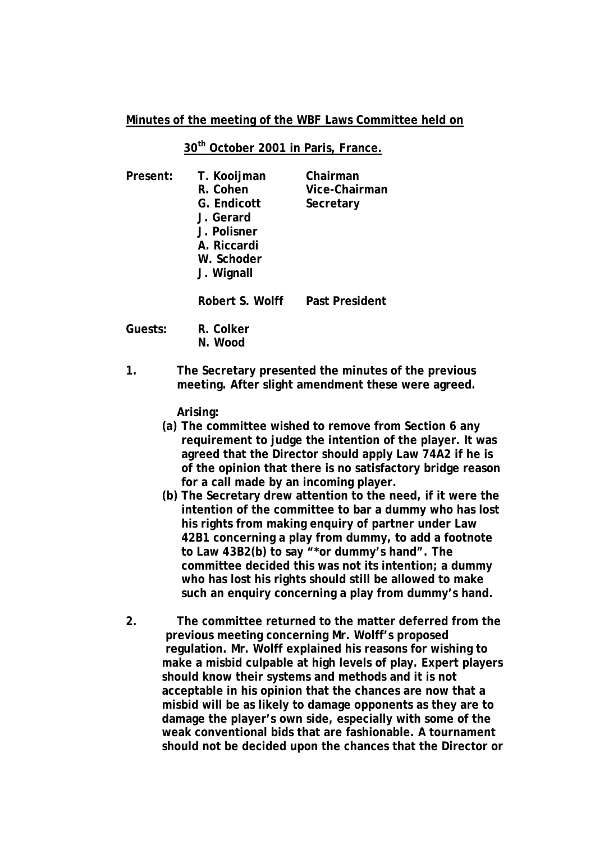## **Minutes of the meeting of the WBF Laws Committee held on**

## **30th October 2001 in Paris, France.**

| Present: | T. Kooijman<br>R. Cohen<br>G. Endicott<br>J. Gerard<br>J. Polisner<br>A. Riccardi<br>W. Schoder<br>J. Wignall | Chairman<br>Vice-Chairman<br>Secretary |
|----------|---------------------------------------------------------------------------------------------------------------|----------------------------------------|
|          | Robert S. Wolff                                                                                               | Past President                         |
| Guests:  | R. Colker<br>N. Wood                                                                                          |                                        |
|          | The Coerstany presented the minutes of t                                                                      |                                        |

**1. The Secretary presented the minutes of the previous meeting. After slight amendment these were agreed.** 

**Arising:** 

- **(a) The committee wished to remove from Section 6 any requirement to judge the intention of the player. It was agreed that the Director should apply Law 74A2 if he is of the opinion that there is no satisfactory bridge reason for a call made by an incoming player.**
- **(b) The Secretary drew attention to the need, if it were the intention of the committee to bar a dummy who has lost his rights from making enquiry of partner under Law 42B1 concerning a play from dummy, to add a footnote to Law 43B2(b) to say "\*or dummy's hand". The committee decided this was not its intention; a dummy who has lost his rights should still be allowed to make such an enquiry concerning a play from dummy's hand.**
- **2. The committee returned to the matter deferred from the previous meeting concerning Mr. Wolff's proposed regulation. Mr. Wolff explained his reasons for wishing to make a misbid culpable at high levels of play. Expert players should know their systems and methods and it is not acceptable in his opinion that the chances are now that a misbid will be as likely to damage opponents as they are to damage the player's own side, especially with some of the weak conventional bids that are fashionable. A tournament should not be decided upon the chances that the Director or**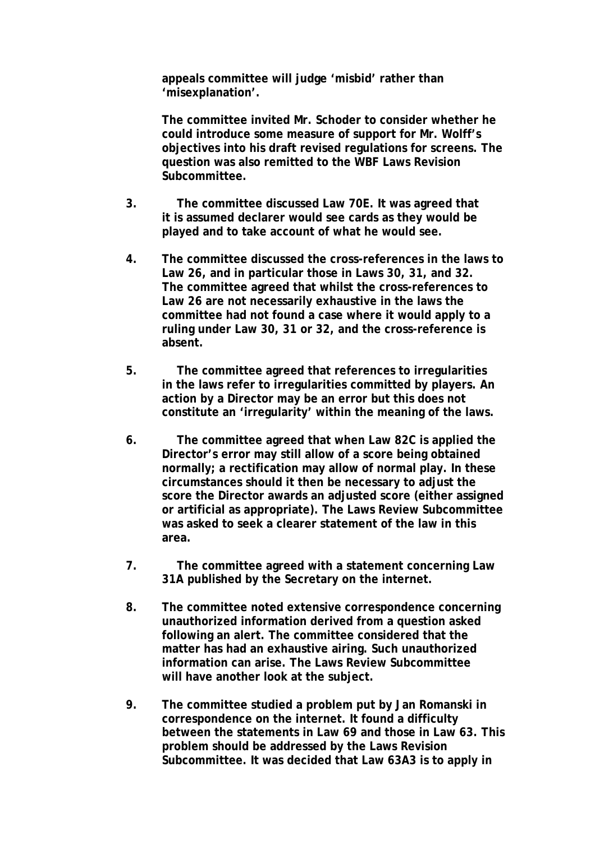**appeals committee will judge 'misbid' rather than 'misexplanation'.** 

**The committee invited Mr. Schoder to consider whether he could introduce some measure of support for Mr. Wolff's objectives into his draft revised regulations for screens. The question was also remitted to the WBF Laws Revision Subcommittee.** 

- **3. The committee discussed Law 70E. It was agreed that it is assumed declarer would see cards as they would be played and to take account of what he would see.**
- **4. The committee discussed the cross-references in the laws to Law 26, and in particular those in Laws 30, 31, and 32. The committee agreed that whilst the cross-references to Law 26 are not necessarily exhaustive in the laws the committee had not found a case where it would apply to a ruling under Law 30, 31 or 32, and the cross-reference is absent.**
- **5. The committee agreed that references to irregularities in the laws refer to irregularities committed by players. An action by a Director may be an error but this does not constitute an 'irregularity' within the meaning of the laws.**
- **6. The committee agreed that when Law 82C is applied the Director's error may still allow of a score being obtained normally; a rectification may allow of normal play. In these circumstances should it then be necessary to adjust the score the Director awards an adjusted score (either assigned or artificial as appropriate). The Laws Review Subcommittee was asked to seek a clearer statement of the law in this area.**
- **7. The committee agreed with a statement concerning Law 31A published by the Secretary on the internet.**
- **8. The committee noted extensive correspondence concerning unauthorized information derived from a question asked following an alert. The committee considered that the matter has had an exhaustive airing. Such unauthorized information can arise. The Laws Review Subcommittee will have another look at the subject.**
- **9. The committee studied a problem put by Jan Romanski in correspondence on the internet. It found a difficulty between the statements in Law 69 and those in Law 63. This problem should be addressed by the Laws Revision Subcommittee. It was decided that Law 63A3 is to apply in**